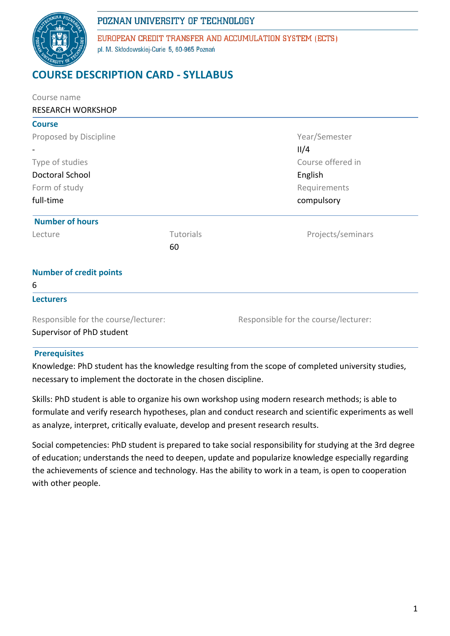

EUROPEAN CREDIT TRANSFER AND ACCUMULATION SYSTEM (ECTS) pl. M. Skłodowskiej-Curie 5, 60-965 Poznań

# **COURSE DESCRIPTION CARD - SYLLABUS**

| Course name                          |           |                                      |  |  |
|--------------------------------------|-----------|--------------------------------------|--|--|
| <b>RESEARCH WORKSHOP</b>             |           |                                      |  |  |
| <b>Course</b>                        |           |                                      |  |  |
| Proposed by Discipline               |           | Year/Semester                        |  |  |
|                                      |           | II/4                                 |  |  |
| Type of studies                      |           | Course offered in                    |  |  |
| Doctoral School                      |           | English                              |  |  |
| Form of study                        |           | Requirements                         |  |  |
| full-time                            |           | compulsory                           |  |  |
| <b>Number of hours</b>               |           |                                      |  |  |
| Lecture                              | Tutorials | Projects/seminars                    |  |  |
|                                      | 60        |                                      |  |  |
| <b>Number of credit points</b>       |           |                                      |  |  |
| 6                                    |           |                                      |  |  |
| <b>Lecturers</b>                     |           |                                      |  |  |
| Responsible for the course/lecturer: |           | Responsible for the course/lecturer: |  |  |
| Supervisor of PhD student            |           |                                      |  |  |

#### **Prerequisites**

Knowledge: PhD student has the knowledge resulting from the scope of completed university studies, necessary to implement the doctorate in the chosen discipline.

Skills: PhD student is able to organize his own workshop using modern research methods; is able to formulate and verify research hypotheses, plan and conduct research and scientific experiments as well as analyze, interpret, critically evaluate, develop and present research results.

Social competencies: PhD student is prepared to take social responsibility for studying at the 3rd degree of education; understands the need to deepen, update and popularize knowledge especially regarding the achievements of science and technology. Has the ability to work in a team, is open to cooperation with other people.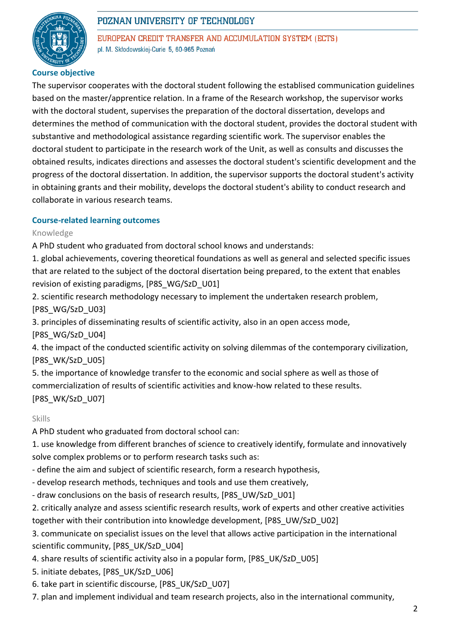

EUROPEAN CREDIT TRANSFER AND ACCUMULATION SYSTEM (ECTS) pl. M. Skłodowskiej-Curie 5, 60-965 Poznań

### **Course objective**

The supervisor cooperates with the doctoral student following the establised communication guidelines based on the master/apprentice relation. In a frame of the Research workshop, the supervisor works with the doctoral student, supervises the preparation of the doctoral dissertation, develops and determines the method of communication with the doctoral student, provides the doctoral student with substantive and methodological assistance regarding scientific work. The supervisor enables the doctoral student to participate in the research work of the Unit, as well as consults and discusses the obtained results, indicates directions and assesses the doctoral student's scientific development and the progress of the doctoral dissertation. In addition, the supervisor supports the doctoral student's activity in obtaining grants and their mobility, develops the doctoral student's ability to conduct research and collaborate in various research teams.

### **Course-related learning outcomes**

### Knowledge

A PhD student who graduated from doctoral school knows and understands:

1. global achievements, covering theoretical foundations as well as general and selected specific issues that are related to the subject of the doctoral disertation being prepared, to the extent that enables revision of existing paradigms, [P8S\_WG/SzD\_U01]

2. scientific research methodology necessary to implement the undertaken research problem, [P8S\_WG/SzD\_U03]

3. principles of disseminating results of scientific activity, also in an open access mode,

[P8S\_WG/SzD\_U04]

4. the impact of the conducted scientific activity on solving dilemmas of the contemporary civilization, [P8S\_WK/SzD\_U05]

5. the importance of knowledge transfer to the economic and social sphere as well as those of commercialization of results of scientific activities and know-how related to these results. [P8S\_WK/SzD\_U07]

### Skills

A PhD student who graduated from doctoral school can:

1. use knowledge from different branches of science to creatively identify, formulate and innovatively solve complex problems or to perform research tasks such as:

- define the aim and subject of scientific research, form a research hypothesis,
- develop research methods, techniques and tools and use them creatively,
- draw conclusions on the basis of research results, [P8S\_UW/SzD\_U01]
- 2. critically analyze and assess scientific research results, work of experts and other creative activities together with their contribution into knowledge development, [P8S\_UW/SzD\_U02]

3. communicate on specialist issues on the level that allows active participation in the international scientific community, [P8S\_UK/SzD\_U04]

- 4. share results of scientific activity also in a popular form, [P8S\_UK/SzD\_U05]
- 5. initiate debates, [P8S\_UK/SzD\_U06]
- 6. take part in scientific discourse, [P8S\_UK/SzD\_U07]
- 7. plan and implement individual and team research projects, also in the international community,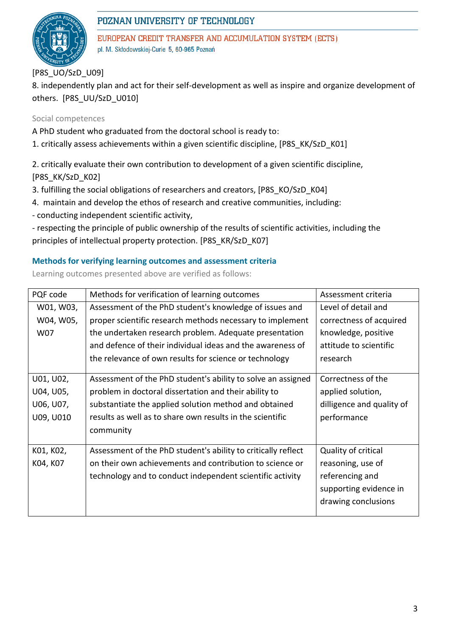

EUROPEAN CREDIT TRANSFER AND ACCUMULATION SYSTEM (ECTS) pl. M. Skłodowskiej-Curie 5, 60-965 Poznań

[P8S\_UO/SzD\_U09]

8. independently plan and act for their self-development as well as inspire and organize development of others. [P8S\_UU/SzD\_U010]

### Social competences

A PhD student who graduated from the doctoral school is ready to:

1. critically assess achievements within a given scientific discipline, [P8S\_KK/SzD\_K01]

2. critically evaluate their own contribution to development of a given scientific discipline, [P8S\_KK/SzD\_K02]

3. fulfilling the social obligations of researchers and creators, [P8S\_KO/SzD\_K04]

4. maintain and develop the ethos of research and creative communities, including:

- conducting independent scientific activity,

- respecting the principle of public ownership of the results of scientific activities, including the principles of intellectual property protection. [P8S\_KR/SzD\_K07]

### **Methods for verifying learning outcomes and assessment criteria**

Learning outcomes presented above are verified as follows:

| PQF code  | Methods for verification of learning outcomes                 | Assessment criteria       |  |  |
|-----------|---------------------------------------------------------------|---------------------------|--|--|
| W01, W03, | Assessment of the PhD student's knowledge of issues and       | Level of detail and       |  |  |
| W04, W05, | proper scientific research methods necessary to implement     | correctness of acquired   |  |  |
| W07       | the undertaken research problem. Adequate presentation        | knowledge, positive       |  |  |
|           | and defence of their individual ideas and the awareness of    | attitude to scientific    |  |  |
|           | the relevance of own results for science or technology        | research                  |  |  |
|           |                                                               |                           |  |  |
| U01, U02, | Assessment of the PhD student's ability to solve an assigned  | Correctness of the        |  |  |
| U04, U05, | problem in doctoral dissertation and their ability to         | applied solution,         |  |  |
| U06, U07, | substantiate the applied solution method and obtained         | dilligence and quality of |  |  |
| U09, U010 | results as well as to share own results in the scientific     | performance               |  |  |
|           | community                                                     |                           |  |  |
|           |                                                               |                           |  |  |
| K01, K02, | Assessment of the PhD student's ability to critically reflect | Quality of critical       |  |  |
| K04, K07  | on their own achievements and contribution to science or      | reasoning, use of         |  |  |
|           | technology and to conduct independent scientific activity     | referencing and           |  |  |
|           |                                                               | supporting evidence in    |  |  |
|           |                                                               | drawing conclusions       |  |  |
|           |                                                               |                           |  |  |